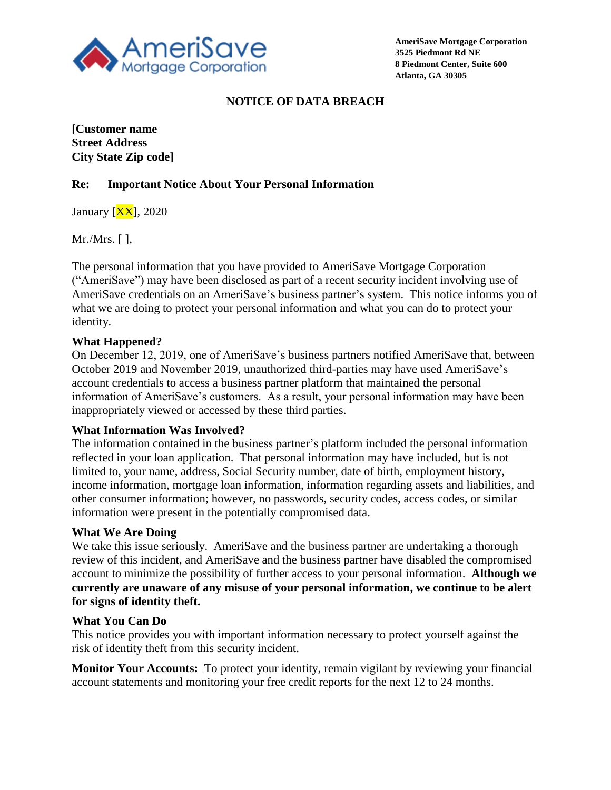

# **NOTICE OF DATA BREACH**

**[Customer name Street Address City State Zip code]**

## **Re: Important Notice About Your Personal Information**

January  $[XX]$ , 2020

Mr./Mrs. [ ],

The personal information that you have provided to AmeriSave Mortgage Corporation ("AmeriSave") may have been disclosed as part of a recent security incident involving use of AmeriSave credentials on an AmeriSave's business partner's system. This notice informs you of what we are doing to protect your personal information and what you can do to protect your identity.

## **What Happened?**

On December 12, 2019, one of AmeriSave's business partners notified AmeriSave that, between October 2019 and November 2019, unauthorized third-parties may have used AmeriSave's account credentials to access a business partner platform that maintained the personal information of AmeriSave's customers. As a result, your personal information may have been inappropriately viewed or accessed by these third parties.

#### **What Information Was Involved?**

The information contained in the business partner's platform included the personal information reflected in your loan application. That personal information may have included, but is not limited to, your name, address, Social Security number, date of birth, employment history, income information, mortgage loan information, information regarding assets and liabilities, and other consumer information; however, no passwords, security codes, access codes, or similar information were present in the potentially compromised data.

#### **What We Are Doing**

We take this issue seriously. AmeriSave and the business partner are undertaking a thorough review of this incident, and AmeriSave and the business partner have disabled the compromised account to minimize the possibility of further access to your personal information. **Although we currently are unaware of any misuse of your personal information, we continue to be alert for signs of identity theft.**

#### **What You Can Do**

This notice provides you with important information necessary to protect yourself against the risk of identity theft from this security incident.

**Monitor Your Accounts:** To protect your identity, remain vigilant by reviewing your financial account statements and monitoring your free credit reports for the next 12 to 24 months.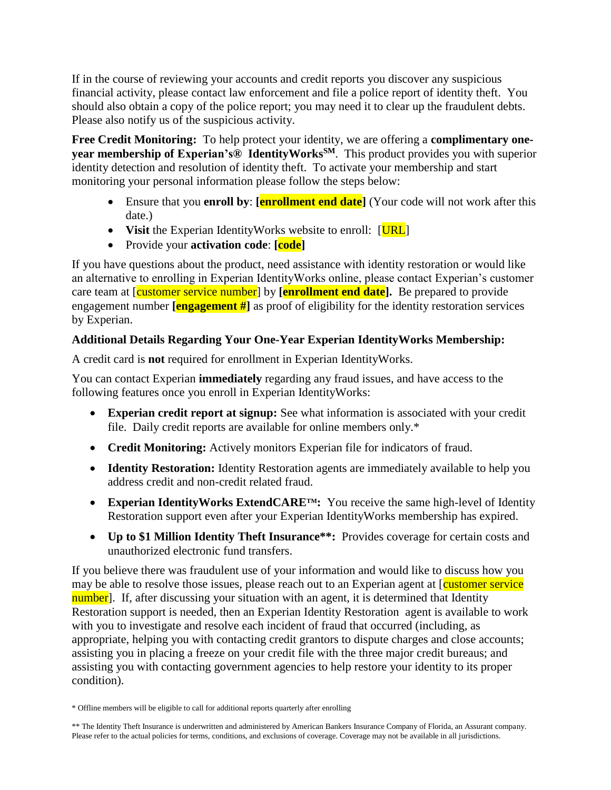If in the course of reviewing your accounts and credit reports you discover any suspicious financial activity, please contact law enforcement and file a police report of identity theft. You should also obtain a copy of the police report; you may need it to clear up the fraudulent debts. Please also notify us of the suspicious activity.

**Free Credit Monitoring:** To help protect your identity, we are offering a **complimentary oneyear membership of Experian's® IdentityWorksSM**. This product provides you with superior identity detection and resolution of identity theft. To activate your membership and start monitoring your personal information please follow the steps below:

- Ensure that you **enroll by**: **[enrollment end date**] (Your code will not work after this date.)
- Visit the Experian IdentityWorks website to enroll: [URL]
- Provide your **activation code**: **[code]**

If you have questions about the product, need assistance with identity restoration or would like an alternative to enrolling in Experian IdentityWorks online, please contact Experian's customer care team at [customer service number] by **[enrollment end date].** Be prepared to provide engagement number **[engagement #]** as proof of eligibility for the identity restoration services by Experian.

# **Additional Details Regarding Your One-Year Experian IdentityWorks Membership:**

A credit card is **not** required for enrollment in Experian IdentityWorks.

You can contact Experian **immediately** regarding any fraud issues, and have access to the following features once you enroll in Experian IdentityWorks:

- **Experian credit report at signup:** See what information is associated with your credit file. Daily credit reports are available for online members only.\*
- **Credit Monitoring:** Actively monitors Experian file for indicators of fraud.
- **Identity Restoration:** Identity Restoration agents are immediately available to help you address credit and non-credit related fraud.
- Experian Identity Works ExtendCARE<sup>TM</sup>: You receive the same high-level of Identity Restoration support even after your Experian IdentityWorks membership has expired.
- **Up to \$1 Million Identity Theft Insurance\*\*:** Provides coverage for certain costs and unauthorized electronic fund transfers.

If you believe there was fraudulent use of your information and would like to discuss how you may be able to resolve those issues, please reach out to an Experian agent at [customer service] number]. If, after discussing your situation with an agent, it is determined that Identity Restoration support is needed, then an Experian Identity Restoration agent is available to work with you to investigate and resolve each incident of fraud that occurred (including, as appropriate, helping you with contacting credit grantors to dispute charges and close accounts; assisting you in placing a freeze on your credit file with the three major credit bureaus; and assisting you with contacting government agencies to help restore your identity to its proper condition).

<sup>\*</sup> Offline members will be eligible to call for additional reports quarterly after enrolling

<sup>\*\*</sup> The Identity Theft Insurance is underwritten and administered by American Bankers Insurance Company of Florida, an Assurant company. Please refer to the actual policies for terms, conditions, and exclusions of coverage. Coverage may not be available in all jurisdictions.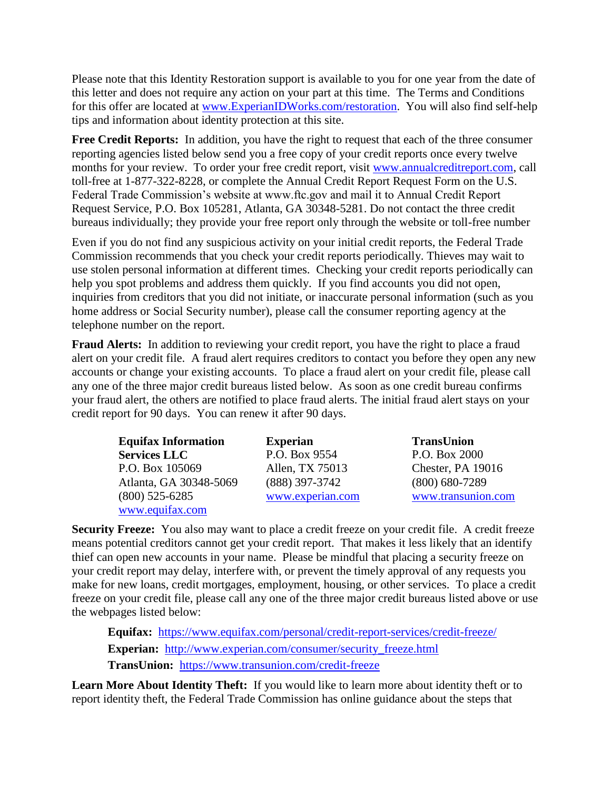Please note that this Identity Restoration support is available to you for one year from the date of this letter and does not require any action on your part at this time. The Terms and Conditions for this offer are located at [www.ExperianIDWorks.com/restoration.](http://www.experianidworks.com/restoration) You will also find self-help tips and information about identity protection at this site.

**Free Credit Reports:** In addition, you have the right to request that each of the three consumer reporting agencies listed below send you a free copy of your credit reports once every twelve months for your review. To order your free credit report, visit [www.annualcreditreport.com,](http://www.annualcreditreport.com/) call toll-free at 1-877-322-8228, or complete the Annual Credit Report Request Form on the U.S. Federal Trade Commission's website at www.ftc.gov and mail it to Annual Credit Report Request Service, P.O. Box 105281, Atlanta, GA 30348-5281. Do not contact the three credit bureaus individually; they provide your free report only through the website or toll-free number

Even if you do not find any suspicious activity on your initial credit reports, the Federal Trade Commission recommends that you check your credit reports periodically. Thieves may wait to use stolen personal information at different times. Checking your credit reports periodically can help you spot problems and address them quickly. If you find accounts you did not open, inquiries from creditors that you did not initiate, or inaccurate personal information (such as you home address or Social Security number), please call the consumer reporting agency at the telephone number on the report.

**Fraud Alerts:** In addition to reviewing your credit report, you have the right to place a fraud alert on your credit file. A fraud alert requires creditors to contact you before they open any new accounts or change your existing accounts. To place a fraud alert on your credit file, please call any one of the three major credit bureaus listed below. As soon as one credit bureau confirms your fraud alert, the others are notified to place fraud alerts. The initial fraud alert stays on your credit report for 90 days. You can renew it after 90 days.

| <b>Equifax Information</b> | <b>Experian</b>  | <b>TransUnion</b>  |
|----------------------------|------------------|--------------------|
| <b>Services LLC</b>        | P.O. Box 9554    | P.O. Box 2000      |
| P.O. Box 105069            | Allen, TX 75013  | Chester, PA 19016  |
| Atlanta, GA 30348-5069     | $(888)$ 397-3742 | $(800)$ 680-7289   |
| $(800)$ 525-6285           | www.experian.com | www.transunion.com |
| www.equifax.com            |                  |                    |

**Security Freeze:** You also may want to place a credit freeze on your credit file. A credit freeze means potential creditors cannot get your credit report. That makes it less likely that an identify thief can open new accounts in your name. Please be mindful that placing a security freeze on your credit report may delay, interfere with, or prevent the timely approval of any requests you make for new loans, credit mortgages, employment, housing, or other services. To place a credit freeze on your credit file, please call any one of the three major credit bureaus listed above or use the webpages listed below:

**Equifax:** <https://www.equifax.com/personal/credit-report-services/credit-freeze/> **Experian:** [http://www.experian.com/consumer/security\\_freeze.html](http://www.experian.com/consumer/security_freeze.html) **TransUnion:** <https://www.transunion.com/credit-freeze>

**Learn More About Identity Theft:** If you would like to learn more about identity theft or to report identity theft, the Federal Trade Commission has online guidance about the steps that